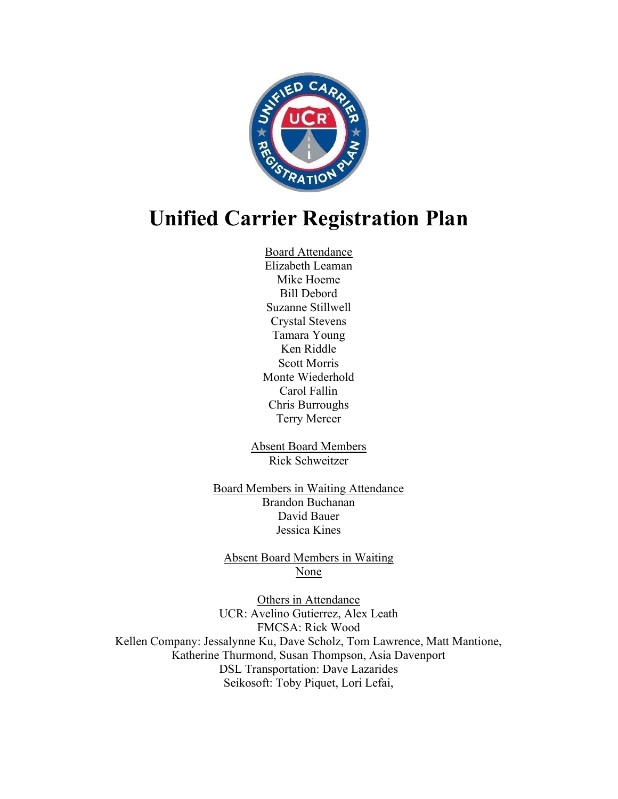

# Unified Carrier Registration Plan

Board Attendance Elizabeth Leaman Mike Hoeme Bill Debord Suzanne Stillwell Crystal Stevens Tamara Young Ken Riddle Scott Morris Monte Wiederhold Carol Fallin Chris Burroughs Terry Mercer

Absent Board Members Rick Schweitzer

Board Members in Waiting Attendance Brandon Buchanan David Bauer Jessica Kines

Absent Board Members in Waiting None

Others in Attendance UCR: Avelino Gutierrez, Alex Leath FMCSA: Rick Wood Kellen Company: Jessalynne Ku, Dave Scholz, Tom Lawrence, Matt Mantione, Katherine Thurmond, Susan Thompson, Asia Davenport DSL Transportation: Dave Lazarides Seikosoft: Toby Piquet, Lori Lefai,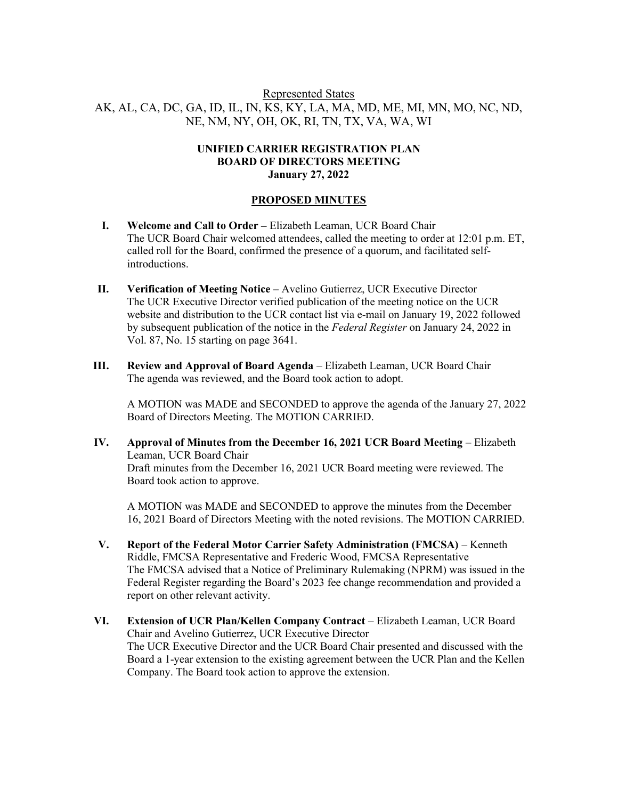## Represented States AK, AL, CA, DC, GA, ID, IL, IN, KS, KY, LA, MA, MD, ME, MI, MN, MO, NC, ND, NE, NM, NY, OH, OK, RI, TN, TX, VA, WA, WI

#### UNIFIED CARRIER REGISTRATION PLAN BOARD OF DIRECTORS MEETING January 27, 2022

### PROPOSED MINUTES

- I. Welcome and Call to Order Elizabeth Leaman, UCR Board Chair The UCR Board Chair welcomed attendees, called the meeting to order at 12:01 p.m. ET, called roll for the Board, confirmed the presence of a quorum, and facilitated selfintroductions.
- II. Verification of Meeting Notice Avelino Gutierrez, UCR Executive Director The UCR Executive Director verified publication of the meeting notice on the UCR website and distribution to the UCR contact list via e-mail on January 19, 2022 followed by subsequent publication of the notice in the Federal Register on January 24, 2022 in Vol. 87, No. 15 starting on page 3641.
- III. Review and Approval of Board Agenda Elizabeth Leaman, UCR Board Chair The agenda was reviewed, and the Board took action to adopt.

A MOTION was MADE and SECONDED to approve the agenda of the January 27, 2022 Board of Directors Meeting. The MOTION CARRIED.

IV. Approval of Minutes from the December 16, 2021 UCR Board Meeting – Elizabeth Leaman, UCR Board Chair Draft minutes from the December 16, 2021 UCR Board meeting were reviewed. The Board took action to approve.

A MOTION was MADE and SECONDED to approve the minutes from the December 16, 2021 Board of Directors Meeting with the noted revisions. The MOTION CARRIED.

- V. Report of the Federal Motor Carrier Safety Administration (FMCSA) Kenneth Riddle, FMCSA Representative and Frederic Wood, FMCSA Representative The FMCSA advised that a Notice of Preliminary Rulemaking (NPRM) was issued in the Federal Register regarding the Board's 2023 fee change recommendation and provided a report on other relevant activity.
- VI. Extension of UCR Plan/Kellen Company Contract Elizabeth Leaman, UCR Board Chair and Avelino Gutierrez, UCR Executive Director The UCR Executive Director and the UCR Board Chair presented and discussed with the Board a 1-year extension to the existing agreement between the UCR Plan and the Kellen Company. The Board took action to approve the extension.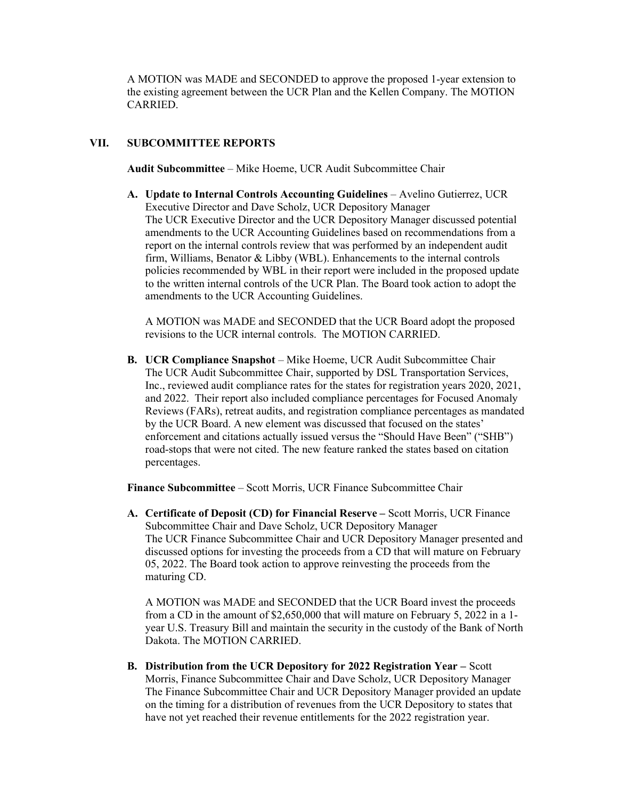A MOTION was MADE and SECONDED to approve the proposed 1-year extension to the existing agreement between the UCR Plan and the Kellen Company. The MOTION CARRIED.

## VII. SUBCOMMITTEE REPORTS

Audit Subcommittee – Mike Hoeme, UCR Audit Subcommittee Chair

A. Update to Internal Controls Accounting Guidelines – Avelino Gutierrez, UCR Executive Director and Dave Scholz, UCR Depository Manager The UCR Executive Director and the UCR Depository Manager discussed potential amendments to the UCR Accounting Guidelines based on recommendations from a report on the internal controls review that was performed by an independent audit firm, Williams, Benator & Libby (WBL). Enhancements to the internal controls policies recommended by WBL in their report were included in the proposed update to the written internal controls of the UCR Plan. The Board took action to adopt the amendments to the UCR Accounting Guidelines.

A MOTION was MADE and SECONDED that the UCR Board adopt the proposed revisions to the UCR internal controls. The MOTION CARRIED.

B. UCR Compliance Snapshot – Mike Hoeme, UCR Audit Subcommittee Chair The UCR Audit Subcommittee Chair, supported by DSL Transportation Services, Inc., reviewed audit compliance rates for the states for registration years 2020, 2021, and 2022. Their report also included compliance percentages for Focused Anomaly Reviews (FARs), retreat audits, and registration compliance percentages as mandated by the UCR Board. A new element was discussed that focused on the states' enforcement and citations actually issued versus the "Should Have Been" ("SHB") road-stops that were not cited. The new feature ranked the states based on citation percentages.

Finance Subcommittee – Scott Morris, UCR Finance Subcommittee Chair

A. Certificate of Deposit (CD) for Financial Reserve – Scott Morris, UCR Finance Subcommittee Chair and Dave Scholz, UCR Depository Manager The UCR Finance Subcommittee Chair and UCR Depository Manager presented and discussed options for investing the proceeds from a CD that will mature on February 05, 2022. The Board took action to approve reinvesting the proceeds from the maturing CD.

A MOTION was MADE and SECONDED that the UCR Board invest the proceeds from a CD in the amount of \$2,650,000 that will mature on February 5, 2022 in a 1 year U.S. Treasury Bill and maintain the security in the custody of the Bank of North Dakota. The MOTION CARRIED.

B. Distribution from the UCR Depository for 2022 Registration Year – Scott Morris, Finance Subcommittee Chair and Dave Scholz, UCR Depository Manager The Finance Subcommittee Chair and UCR Depository Manager provided an update on the timing for a distribution of revenues from the UCR Depository to states that have not yet reached their revenue entitlements for the 2022 registration year.